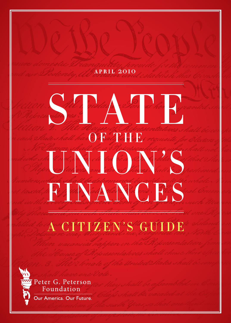### **a p r i l** 2010

# Me coute de Pour et her des des des la fait de la fait de la fait de la fait de la fait de la fait de la fait<br>2. Thé stourge of Asprosentatives . OF THE University de la film de la décade de la Communication de la Communication de la Communication de la Communication de la Communication de la Communication de la Communication de la Communication de la Communication de la C FINANCES

# a citizen's guide



Peter G. Peterson Foundation Our America. Our Future.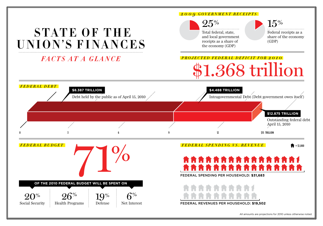### *2009 GOVERNMENT RECEIPTS*



All amounts are projections for 2010 unless otherwise noted.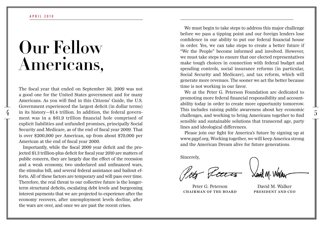# **Our Fellow Americans,**

This includes raising public awareness about key economic<br>in its history—\$1.4 trillion. In addition, the federal govern-<br>in the bring Americans teacher to find 5. The fiscal year that ended on September 30, 2009 was not a good one for the United States government and for many Americans. As you will find in this Citizens' Guide, the U.S. Government experienced the largest deficit (in dollar terms) ment was in a \$61.9 trillion financial hole comprised of explicit liabilities and unfunded promises, principally Social Security and Medicare, as of the end of fiscal year 2009. That is over \$200,000 per American, up from about \$70,000 per American at the end of fiscal year 2000.

Importantly, while the fiscal 2009 year deficit and the projected \$1.3 trillion-plus deficit for fiscal year 2010 are matters of public concern, they are largely due the effect of the recession and a weak economy, two undeclared and unfinanced wars, the stimulus bill, and several federal assistance and bailout efforts. All of these factors are temporary and will pass over time. Therefore, the real threat to our collective future is the longerterm structural deficits, escalating debt levels and burgeoning interest payments that we are projected to experience after the economy recovers, after unemployment levels decline, after the wars are over, and once we are past the recent crises.

We must begin to take steps to address this major challenge before we pass a tipping point and our foreign lenders lose confidence in our ability to put our federal financial house in order. Yes, we can take steps to create a better future if "We the People" become informed and involved. However, we must take steps to ensure that our elected representatives make tough choices in connection with federal budget and spending controls, social insurance reforms (in particular, Social Security and Medicare), and tax reform, which will generate more revenues. The sooner we act the better because time is not working in our favor.

We at the Peter G. Peterson Foundation are dedicated to promoting more federal financial responsibility and accountability today in order to create more opportunity tomorrow. This includes raising public awareness about key economic challenges, and working to bring Americans together to find sensible and sustainable solutions that transcend age, party lines and ideological differences.

Please join our fight for America's future by signing up at www.pgpf.org. Working together, we will keep America strong and the American Dream alive for future generations.

Sincerely,

lot Pour

Peter G. Peterson **Chairman of the Board**

**Laniel M. Walker** 

David M. Walker **President and CEO**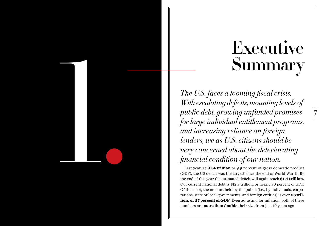# **Executive Summary**

7

*The U.S. faces a looming fiscal crisis. With escalating deficits, mounting levels of public debt, growing unfunded promises for large individual entitlement programs, and increasing reliance on foreign lenders, we as U.S. citizens should be very concerned about the deteriorating financial condition of our nation.*

1

.

Last year, at **\$1.4 trillion** or 9.9 percent of gross domestic product (GDP), the US deficit was the largest since the end of World War II. By the end of this year the estimated deficit will again reach **\$1.4 trillion.**  Our current national debt is \$12.9 trillion, or nearly 90 percent of GDP. Of this debt, the amount held by the public (i.e., by individuals, corpo rations, state or local governments, and foreign entities) is over **\$8 tril lion, or 57 percent of GDP**. Even adjusting for inflation, both of these numbers are **more than double** their size from just 10 years ago.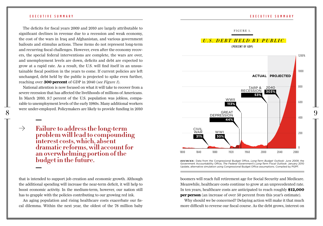The deficits for fiscal years 2009 and 2010 are largely attributable to significant declines in revenue due to a recession and weak economy, the cost of the wars in Iraq and Afghanistan, and various government bailouts and stimulus actions. These items do not represent long-term and recurring fiscal challenges. However, even after the economy recovers, the special federal interventions are complete, the wars are over, and unemployment levels are down, deficits and debt are expected to grow at a rapid rate. As a result, the U.S. will find itself in an unsustainable fiscal position in the years to come. If current policies are left unchanged, debt held by the public is projected to spike even further, reaching over **300 percent** of GDP in 2040 (*see Figure 1*).

National attention is now focused on what it will take to recover from a severe recession that has affected the livelihoods of millions of Americans. In March 2010, 9.7 percent of the U.S. population was jobless, comparable to unemployment levels of the early 1980s. Many additional workers

 $\rightarrow$ **Failure to address the long-term problem will lead to compounding interest costs, which, absent dramatic reforms, will account for an overwhelming portion of the budget in the future.**

that is intended to support job creation and economic growth. Although the additional spending will increase the near-term deficit, it will help to boost economic activity. In the medium-term, however, our nation still has to grapple with the policies contributing to our growing red ink.

An aging population and rising healthcare costs exacerbate our fiscal dilemma. Within the next year, the oldest of the 78 million baby



### executive summary executive summary executive summary executive summary executive summary

0

boomers will reach full retirement age for Social Security and Medicare. Meanwhile, healthcare costs continue to grow at an unprecedented rate. In ten years, healthcare costs are anticipated to reach roughly **\$12,000 per person** (an increase of over 50 percent from this year's estimate).

Why should we be concerned? Delaying action will make it that much more difficult to reverse our fiscal course. As the debt grows, interest on

*s o u r c e s:* Data from the Congressional Budget Office, *Long-Term Budget Outlook: June 2009*, the Government Accountability Office, *The Federal Government's Long-Term Fiscal Outlook*: January 2010 Update, alternative simulation using Congressional Budget Office assumptions. Compiled by PGPF.

1800 1840 1880 1920 1960 2000 2040 2080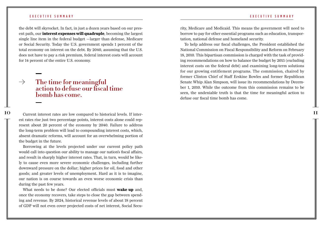### executive summary executive summary executive summary executive summary executive summary

the debt will skyrocket. In fact, in just a dozen years based on our present path, our **interest expenses will quadruple**, becoming the largest single line item in the federal budget —larger than defense, Medicare or Social Security. Today the U.S. government spends 1 percent of the total economy on interest on the debt. By 2040, assuming that the U.S. does not have to pay a risk premium, federal interest costs will account for 14 percent of the entire U.S. economy.

### $\rightarrow$ **The time for meaningful action to defuse our fiscal time bomb has come.**

**10** 11 Current interest rates are low compared to historical levels. If interest rates rise just two percentage points, interest costs alone could represent about 20 percent of the economy by 2040. Failure to address the long-term problem will lead to compounding interest costs, which, absent dramatic reforms, will account for an overwhelming portion of the budget in the future.

Borrowing at the levels projected under our current policy path would call into question our ability to manage our nation's fiscal affairs, and result in sharply higher interest rates. That, in turn, would be likely to cause even more severe economic challenges, including further downward pressure on the dollar; higher prices for oil, food and other goods; and greater levels of unemployment. Hard as it is to imagine, our nation is on course towards an even worse economic crisis than during the past few years.

What needs to be done? Our elected officials must **wake up** and, once the economy recovers, take steps to close the gap between spending and revenue. By 2024, historical revenue levels of about 18 percent of GDP will not even cover projected costs of net interest, Social Security, Medicare and Medicaid. This means the government will need to borrow to pay for other essential programs such as education, transportation, national defense and homeland security.

To help address our fiscal challenges, the President established the National Commission on Fiscal Responsibility and Reform on February 18, 2010. This bipartisan commission is charged with the task of providing recommendations on how to balance the budget by 2015 (excluding interest costs on the federal debt) and examining long-term solutions for our growing entitlement programs. The commission, chaired by former Clinton Chief of Staff Erskine Bowles and former Republican Senate Whip Alan Simpson, will issue its recommendations by December 1, 2010. While the outcome from this commission remains to be seen, the undeniable truth is that the time for meaningful action to defuse our fiscal time bomb has come.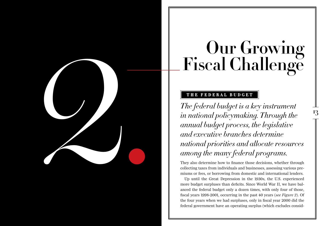# **Our Growing Fiscal Challenge**

# **the federal budget**

**CHIP SECAL Challenge**<br>
Fiscal Challenge<br>
The federal budget is a key instrument<br>
in rational policymaking. Through the<br>
amual budget process, the legislative<br>
amual budget process, the legislative<br>
amual budget process, t *The federal budget is a key instrument in national policymaking. Through the annual budget process, the legislative and executive branches determine national priorities and allocate resources among the many federal programs.* 

They also determine how to finance those decisions, whether through collecting taxes from individuals and businesses, assessing various premiums or fees, or borrowing from domestic and international lenders.

Up until the Great Depression in the 1930s, the U.S. experienced more budget surpluses than deficits. Since World War II, we have balanced the federal budget only a dozen times, with only four of those, fiscal years 1998-2001, occurring in the past 40 years (*see Figure 2*). Of the four years when we had surpluses, only in fiscal year 2000 did the federal government have an operating surplus (which excludes consid-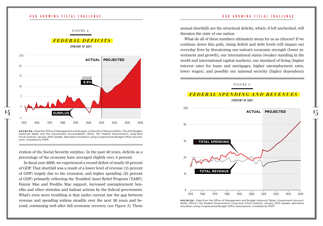

# *f e d e r a l d e f i c i t s*

(PERCENT OF GDP)



*s o u r c e s :* Data the Office of Management and Budget, *A New Era of Responsibility: The 2011 Budget*, Historical Tables and the Government Accountability Office, *The Federal Government's Long-Term Fiscal Outlook: January 2010 Update*, alternative simulation using Congressional Budget Office assumptions. Compiled by PGPF.

eration of the Social Security surplus). In the past 40 years, deficits as a percentage of the economy have averaged slightly over 3 percent.

 In fiscal year 2009, we experienced a record deficit of nearly 10 percent of GDP. That shortfall was a result of a lower level of revenue (15 percent of GDP) largely due to the recession, and higher spending (25 percent of GDP) primarily reflecting the Troubled Asset Relief Program (TARP), Fannie Mae and Freddie Mac support, increased unemployment benefits and other stimulus and bailout actions by the federal government. What's even more troubling is that under current law the gap between revenue and spending widens steadily over the next 30 years and beyond, continuing well after full economic recovery (*see Figure 3*). These annual shortfalls are the structural deficits, which, if left unchecked, will threaten the state of our nation.

What do all of these numbers ultimately mean for us as citizens? If we continue down this path, rising deficit and debt levels will impact our everyday lives by threatening our nation's economic strength (lower investment and growth), our international status (weaker standing in the world and international capital markets), our standard of living (higher interest rates for loans and mortgages, higher unemployment rates, lower wages), and possibly our national security (higher dependency

### FIGURE 3.



*sOURCES*: Data from the Office of Management and Budget Historical Tables, Government Accountability Office's *The Federal Government's Long-term Fiscal Outlook: January 2010 Update*, alternative simulation using Congressional Budget Office assumptions. Compiled by PGPF.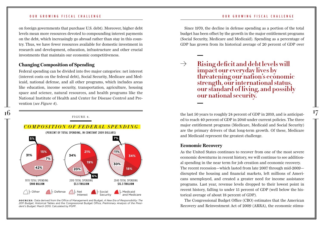on foreign governments that purchase U.S. debt). Moreover, higher debt levels mean more resources devoted to compounding interest payments on the debt, which increasingly go abroad rather than stay in this country. Thus, we have fewer resources available for domestic investment in research and development, education, infrastructure and other crucial investments that maintain our economic competitiveness.

### **Changing Composition of Spending**

Federal spending can be divided into five major categories: net interest (interest costs on the federal debt), Social Security, Medicare and Medicaid, national defense, and all other programs, which includes areas like education, income security, transportation, agriculture, housing space and science, natural resources, and health programs like the National Institute of Health and Center for Disease Control and Prevention (*see Figure 4*).



*s o u r c e s :* Data derived from the Office of Management and Budget, *A New Era of Responsibility: The 2011 Budget*, Historical Tables and the Congressional Budget Office, *Preliminary Analysis of the President's Budget:* March 2010. Calculated by PGPF.

Since 1970, the decline in defense spending as a portion of the total budget has been offset by the growth in the major entitlement programs (Social Security, Medicare and Medicaid). Spending as a percentage of GDP has grown from its historical average of 20 percent of GDP over

 $\rightarrow$ **Rising deficit and debt levels will impact our everyday lives by threatening our nation's economic strength, our international status, our standard of living, and possibly our national security.**

ed to reach 40 percent of GDP in 2040 under current policies. The three major entitlement programs (Medicare, Medicaid and Social Security) are the primary drivers of that long-term growth. Of these, Medicare and Medicaid represent the greatest challenge.

### **Economic Recovery**

As the United States continues to recover from one of the most severe economic downturns in recent history, we will continue to see additional spending in the near term for job creation and economic recovery. The recent recession—which lasted from late 2007 through mid-2009 disrupted the housing and financial markets, left millions of Americans unemployed, and created a greater need for income assistance programs. Last year, revenue levels dropped to their lowest point in recent history, falling to under 15 percent of GDP (well below the historical average of about 18 percent of GDP).

The Congressional Budget Office (CBO) estimates that the American Recovery and Reinvestment Act of 2009 (ARRA), the economic stimu-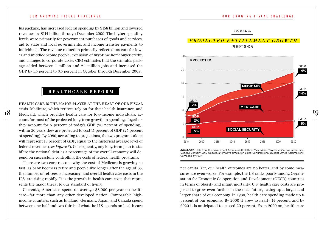lus package, has increased federal spending by \$158 billion and lowered revenues by \$114 billion through December 2009. The higher spending levels were primarily for government purchases of goods and services, aid to state and local governments, and income transfer payments to individuals. The revenue reduction primarily reflected tax cuts for lower and middle-income people, extension of first-time homebuyer credit, and changes to corporate taxes. CBO estimates that the stimulus package added between 1 million and 2.1 million jobs and increased the GDP by 1.5 percent to 3.5 percent in October through December 2009.

## **healthcare reform**

Health care is the major player at the heart of our fiscal crisis. Medicare, which retirees rely on for their health insurance, and count for most of the projected long-term growth in spending. Together, they account for 5 percent of today's GDP (20 percent of spending); within 30 years they are projected to cost 11 percent of GDP (25 percent of spending). By 2080, according to projections, the two programs alone will represent 18 percent of GDP, equal to the historical average level of federal revenues (*see Figure 5*). Consequently, any long-term plan to stabilize the national debt as a percentage of the overall economy will depend on successfully controlling the costs of federal health programs.

There are two core reasons why the cost of Medicare is growing so fast: as baby boomers retire and people live longer after the age of 65, the number of retirees is increasing; and overall health care costs in the U.S. are rising rapidly. It is the growth in health care costs that represents the major threat to our standard of living.

Currently, Americans spend on average \$8,000 per year on health care—far more than any other developed nation. Comparable highincome countries such as England, Germany, Japan, and Canada spend between one-half and two-thirds of what the U.S. spends on health care



*s o u r c e s :* Data from the Government Accountability Office, *The Federal Government's Long-Term Fiscal Outlook:* January 2010 Update, alternative simulation using Congressional Budget Office Assumptions. Compiled by PGPF.

per capita. Yet, our health outcomes are no better, and by some measures are even worse. For example, the US ranks poorly among Organisation for Economic Co-operation and Development (OECD) countries in terms of obesity and infant mortality. U.S. health care costs are projected to grow even further in the near future, eating up a larger and larger share of our economy. In 1980, health care spending made up 8 percent of our economy. By 2000 it grew to nearly 14 percent, and by 2020 it is anticipated to exceed 20 percent. From 2020 on, health care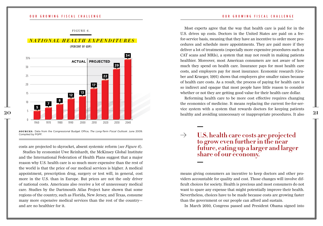

*s o u r c e s :* Data from the Congressional Budget Office, *The Long-Term Fiscal Outlook*: June 2009. Compiled by PGPF.

costs are projected to skyrocket, absent systemic reform (*see Figure 6*).

Studies by economist Uwe Reinhardt, the McKinsey Global Institute and the International Federation of Health Plans suggest that a major reason why U.S. health care is so much more expensive than the rest of the world is that the price of our medical services is higher. A medical appointment, prescription drug, surgery or test will, in general, cost more in the U.S. than in Europe. But prices are not the only driver of national costs. Americans also receive a lot of unnecessary medical care. Studies by the Dartmouth Atlas Project have shown that some regions of the country, such as Florida, New Jersey, and Texas, consume many more expensive medical services than the rest of the country and are no healthier for it.

Most experts agree that the way that health care is paid for in the U.S. drives up costs. Doctors in the United States are paid on a feefor-service basis, meaning that they have an incentive to order more procedures and schedule more appointments. They are paid more if they deliver a lot of treatments (especially more expensive procedures such as CAT scans and MRIs), a system that may not result in making patients healthier. Moreover, most American consumers are not aware of how much they spend on health care. Insurance pays for most health care costs, and employers pay for most insurance. Economic research (Gruber and Krueger, 1991) shows that employers give smaller raises because of health care costs. As a result, the process of paying for health care is so indirect and opaque that most people have little reason to consider whether or not they are getting good value for their health care dollar.

Reforming health care to be more cost effective requires changing the economics of medicine. It means replacing the current fee-for-service system with a system that rewards doctors for keeping patients

 $\rightarrow$ **U.S. health care costs are projected to grow even further in the near future, eating up a larger and larger share of our economy.**

means giving consumers an incentive to keep doctors and other providers accountable for quality and cost. Those changes will involve difficult choices for society. Health is precious and most consumers do not want to spare any expense that might potentially improve their health. Nevertheless, choices have to be made because costs are growing faster than the government or our people can afford and sustain.

In March 2010, Congress passed and President Obama signed into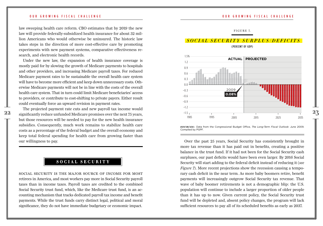law sweeping health care reform. CBO estimates that by 2019 the new law will provide federally-subsidized health insurance for about 32 million Americans who would otherwise be uninsured. The historic law takes steps in the direction of more cost-effective care by promoting experiments with new payment systems, comparative effectiveness research, and electronic health records.

Under the new law, the expansion of health insurance coverage is mostly paid for by slowing the growth of Medicare payments to hospitals and other providers, and increasing Medicare payroll taxes. For reduced Medicare payment rates to be sustainable the overall health care system will have to become more efficient and keep down unnecessary costs. Otherwise Medicare payments will not be in line with the costs of the overall health care system. That in turn could limit Medicare beneficiaries' access to providers, or contribute to cost-shifting to private payers. Either result could eventually force an upward revision in payment rates.

The projected payment rate cuts and new payroll tax income would but those resources will be needed to pay for the new health insurance subsidies. Consequently, much work remains to stabilize health care costs as a percentage of the federal budget and the overall economy and keep total federal spending for health care from growing faster than our willingness to pay.

# **social security**

Social Security is the major source of income for most retirees in America, and most workers pay more in Social Security payroll taxes than in income taxes. Payroll taxes are credited to the combined Social Security trust fund, which, like the Medicare trust fund, is an accounting mechanism that tracks dedicated payroll tax income and benefit payments. While the trust funds carry distinct legal, political and moral significance, they do not have immediate budgetary or economic impact.

### FIGURE 7.

### *SOCIAL SECURITY SURPLUS/DEFICITS* (PERCENT OF GDP)



*s o u r c e s :* Data from the Congressional Budget Office, *The Long-Term Fiscal Outlook*: June 2009. Compiled by PGPF.

Over the past 25 years, Social Security has consistently brought in more tax revenue than it has paid out in benefits, creating a positive balance in the trust fund. If it had not been for the Social Security cash surpluses, our past deficits would have been even larger. By 2016 Social Security will start adding to the federal deficit instead of reducing it (*see Figure 7*). More recent projections show the recession causing a temporary cash deficit in the near term. As more baby boomers retire, benefit payments will increasingly outgrow Social Security tax revenue. That wave of baby boomer retirements is not a demographic blip: the U.S. population will continue to include a larger proportion of older people than it has up to now. Given current policy, the Social Security trust fund will be depleted and, absent policy changes, the program will lack sufficient resources to pay all of its scheduled benefits as early as 2037.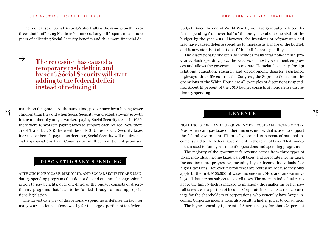The root cause of Social Security's shortfalls is the same growth in retirees that is affecting Medicare's finances. Longer life spans mean more years of collecting Social Security benefits and thus more financial de-

 $\rightarrow$ 

# **The recession has caused a temporary cash deficit, and by 2016 Social Security will start adding to the federal deficit instead of reducing it**

 $24$  mands on the system. At the same time, people have been having fewer  $25$   $\overline{\text{REVENUE}}$ mands on the system. At the same time, people have been having fewer in the number of younger workers paying Social Security taxes. In 1950, there were 16 workers paying taxes to support each retiree. Now there are 3.3, and by 2040 there will be only 2. Unless Social Security taxes increase, or benefit payments decrease, Social Security will require special appropriations from Congress to fulfill current benefit promises.

# **discretionary spending**

Although Medicare, Medicaid, and Social Security are mandatory spending programs that do not depend on annual congressional action to pay benefits, over one-third of the budget consists of discretionary programs that have to be funded through annual appropriations legislation.

The largest category of discretionary spending is defense. In fact, for many years national defense was by far the largest portion of the federal budget. Since the end of World War II, we have gradually reduced defense spending from over half of the budget to about one-sixth of the budget by the year 2000. However, the invasions of Afghanistan and Iraq have caused defense spending to increase as a share of the budget, and it now stands at about one-fifth of all federal spending.

The discretionary budget also includes many vital non-defense programs. Such spending pays the salaries of most government employees and allows the government to operate. Homeland security, foreign relations, education, research and development, disaster assistance, highways, air traffic control, the Congress, the Supreme Court, and the operations of the White House are all examples of discretionary spending. About 19 percent of the 2010 budget consists of nondefense discretionary spending.

# **revenue**

Nothing is free, and our government costs Americans money. Most Americans pay taxes on their income, money that is used to support the federal government. Historically, around 18 percent of national income is paid to the federal government in the form of taxes. That money is then used to fund government's operations and spending programs.

The majority of the government's revenue comes from three types of taxes: individual income taxes, payroll taxes, and corporate income taxes. Income taxes are progressive, meaning higher income individuals face higher tax rates. However, payroll taxes are regressive because they only apply to the first \$106,800 of wage income (in 2010), and any earnings beyond that are not subject to payroll taxes. The more an individual earns above the limit (which is indexed to inflation), the smaller his or her payroll taxes are as a portion of income. Corporate income taxes reduce earnings for the shareholders of corporations, who generally have larger incomes. Corporate income taxes also result in higher prices to consumers.

The highest-earning 1 percent of Americans pay for about 24 percent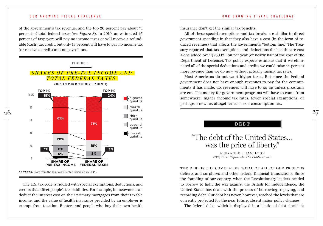### OUR GROWING FISCAL CHALLENGE

SHARE OF

### OUR GROWING FISCAL CHALLENGE

of the government's tax revenue, and the top 20 percent pay about 71 percent of total federal taxes (*see Figure 8*). In 2010, an estimated 45 percent of taxpayers will pay no income taxes or will receive a refundable (cash) tax credit, but only 13 percent will have to pay no income tax **0% 2.3% 8.2% 18.1% 71.5%** (or receive a credit) and no payroll tax.

TOP 1%



**SOURCES:** Data from the Tax Policy Center. Compiled by PGPF.

The U.S. tax code is riddled with special exemptions, deductions, and credits that affect people's tax liabilities. For example, homeowners can deduct the interest cost on their primary mortgages from their taxable income, and the value of health insurance provided by an employer is exempt from taxation. Renters and people who buy their own health insurance don't get the similar tax benefits.

All of these special exemptions and tax breaks are similar to direct government spending in that they also have a cost (in the form of reduced revenues) that affects the government's "bottom line." The Treasury reported that tax exemptions and deductions for health care cost alone added over \$250 billion per year (or nearly half of the cost of the Department of Defense). Tax policy experts estimate that if we eliminated all of the special deductions and credits we could raise 44 percent more revenue than we do now without actually raising tax rates.

Most Americans do not want higher taxes. But since the Federal government does not have enough revenues to pay for the commitments it has made, tax revenues will have to go up unless programs are cut. The money for government programs will have to come from somewhere: higher income tax rates, fewer special exemptions, or perhaps a new tax altogether such as a consumption tax.

**DEBT** 

# "The debt of the United States… was the price of liberty."

ALEXANDER HAMILTON *1790, First Report On The Public Credit*

The debt is the cumulative total of all of our previous deficits and surpluses and other federal financial transactions. Since the founding of our country, when the Revolutionary leaders needed to borrow to fight the war against the British for independence, the United States has dealt with the process of borrowing, repaying, and recording debt. Our debt has never, however, reached the levels that are currently projected for the near future, absent major policy changes.

The federal debt—which is displayed in a "national debt clock"—is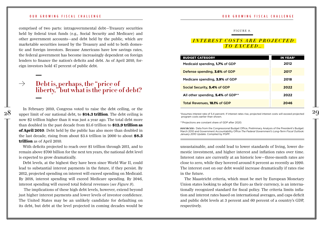comprised of two parts: intragovernmental debt—Treasury securities held by federal trust funds (e.g., Social Security and Medicare) and other government accounts—and debt held by the public, which are marketable securities issued by the Treasury and sold to both domestic and foreign investors. Because Americans have low savings rates, the federal government has become increasingly dependent on foreign lenders to finance the nation's deficits and debt. As of April 2010, foreign investors hold 47 percent of public debt.

 $\rightarrow$ **Debt is, perhaps, the "price of liberty," but what is the price of debt?** 

In February 2010, Congress voted to raise the debt ceiling, or the<br>29 upper limit of our national debt, to \$14.3 trillion. The debt ceiling is the state of 5.4 percent of the structure of the structure of the structure of In February 2010, Congress voted to raise the debt ceiling, or the now \$2 trillion higher than it was just a year ago. The total debt more than doubled in the past decade from \$5.6 trillion to **\$12.9 trillion as of April 2010**. Debt held by the public has also more than doubled in the last decade, rising from about \$3.4 trillion in 2000 to about **\$8.3 trillion** as of April 2010.

With deficits projected to reach over \$1 trillion through 2011, and to remain above \$700 billion for the next ten years, the national debt level is expected to grow dramatically.

Debt levels, at the highest they have been since World War II, could lead to substantial interest payments in the future, if they persist. By 2012, projected spending on interest will exceed spending on Medicaid. By 2018, interest spending will exceed Medicare spending. By 2046, interest spending will exceed total federal revenues (*see Figure 9*).

 The implications of these high debt levels, however, extend beyond just higher interest payments and lower levels of investor confidence. The United States may be an unlikely candidate for defaulting on its debt, but debt at the level projected in coming decades would be

### OUR GROWING FISCAL CHALLENGE THE SERVICE OUR GROWING FISCAL CHALLENGE

FIGURE 9.

### *INTEREST COSTS ARE PROJECTED TO E X CEED…*

| <b>BUDGET CATEGORY</b>                        | <b>IN YEAR*</b> |
|-----------------------------------------------|-----------------|
| Medicaid spending, 1.7% of GDP                | 2012            |
| Defense spending, 3.6% of GDP                 | 2017            |
| Medicare spending, 3.9% of GDP                | 2018            |
| Social Security, <b>5.4%</b> of GDP           | 2022            |
| All other spending, 5.4% of GDP <sup>**</sup> | 2022            |
| Total Revenues, 18.1% of GDP                  | 2046            |

\*Assumes interest rate of 5.4 percent. If interest rates rise, projected interest costs will exceed projected program costs earlier than shown.

\*\*Projections are constant share of GDP after 2020.

*s o u r c e s :* Data from the Congressional Budget Office, Preliminary Analysis of the President's Budget: March 2010 and Government Accountability Office *The Federal Government's Long-Term Fiscal Outlook: January 2010 Update*. Compiled by PGPF.

unsustainable, and could lead to lower standards of living, lower domestic investment, and higher interest and inflation rates over time. Interest rates are currently at an historic low—three-month rates are close to zero, while they hovered around 8 percent as recently as 1990. The interest cost on our debt would increase dramatically if rates rise in the future.

The Maastricht criteria, which must be met by European Monetary Union states looking to adopt the Euro as their currency, is an internationally recognized standard for fiscal policy. The criteria limits inflation and interest rates based on international averages, and caps deficit and public debt levels at 3 percent and 60 percent of a country's GDP, respectively.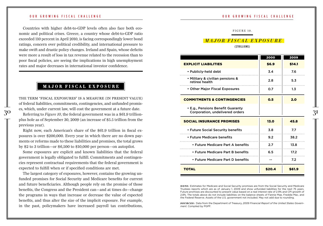Countries with higher debt-to-GDP levels often also face both economic and political crises. Greece, a country whose debt-to-GDP ratio exceeded 110 percent in April 2010, is facing correspondingly lower bond ratings, concern over political credibility, and international pressure to make swift and drastic policy changes. Ireland and Spain, whose deficits were more a result of loss in tax revenue related to the recession than to poor fiscal policies, are seeing the implications in high unemployment rates and major decreases in international investor confidence.

# **major fiscal exposure**

The largest category of exposures, however, contains the growing unfunded promises for Social Security and Medicare benefits for current and future beneficiaries. Although people rely on the promise of those benefits, the Congress and the President can—and at times do—change the programs in ways that increase or decrease the value of expected benefits, and thus alter the size of the implicit exposure. For example, in the past, policymakers have increased payroll tax contributions,

### OUR GROWING FISCAL CHALLENGE THE SERVICE OUR GROWING FISCAL CHALLENGE

### FIGURE 10.

## *major fiscal e x p o s u r e*

( \$trillions )

| were more a result of loss in tax revenue related to the recession than to<br>poor fiscal policies, are seeing the implications in high unemployment         |                                                                      | 2000   | 2009   |
|--------------------------------------------------------------------------------------------------------------------------------------------------------------|----------------------------------------------------------------------|--------|--------|
| rates and major decreases in international investor confidence.                                                                                              | <b>EXPLICIT LIABILITIES</b>                                          | \$6.9  | \$14.1 |
|                                                                                                                                                              | • Publicly-held debt                                                 | 3.4    | 7.6    |
|                                                                                                                                                              | • Military & civilian pensions &<br>retiree health                   | 2.8    | 5.3    |
| MAJOR FISCAL EXPOSURE                                                                                                                                        | • Other Major Fiscal Exposures                                       | 0.7    | 1.3    |
| THE TERM "FISCAL EXPOSURES" IS A MEASURE (IN PRESENT VALUE)<br>of federal liabilities, commitments, contingencies, and unfunded promis-                      | <b>COMMITMENTS &amp; CONTINGENCIES</b>                               | 0.5    | 2.0    |
| es, which, under current law, will cost the government at a future date.<br>Referring to <i>Figure 10</i> , the federal government was in a \$61.9 trillion- | • E.g., Pensions Benefit Guaranty<br>Corporation, undelivered orders |        |        |
| plus hole as of September 30, 2009 (an increase of \$5.5 trillion from the<br>previous year).                                                                | <b>SOCIAL INSURANCE PROMISES</b>                                     | 13.0   | 45.8   |
| Right now, each American's share of the \$61.9 trillion in fiscal ex-                                                                                        | • Future Social Security benefits                                    | 3.8    | 7.7    |
| posures is over \$200,000. Every year in which there are no down pay-                                                                                        | • Future Medicare benefits                                           | 9.2    | 38.2   |
| ments or reforms made to these liabilities and promises, the total grows<br>by \$2 to 3 trillion—or \$6,500 to \$10,000 per person—on autopilot.             | • Future Medicare Part A benefits                                    | 2.7    | 13.8   |
| Some exposures are explicit and known liabilities that the federal                                                                                           | • Future Medicare Part B benefits                                    | 6.5    | 17.2   |
| government is legally obligated to fulfill. Commitments and contingen-<br>cies represent contractual requirements that the federal government is             | • Future Medicare Part D benefits                                    |        | 7.2    |
| expected to fulfill when or if specified conditions are met.                                                                                                 | <b>TOTAL</b>                                                         | \$20.4 | \$61.9 |

*n o t e :* Estimates for Medicare and Social Security promises are from the Social Security and Medicare Trustees reports which are as of January 1, 2009 and show unfunded liabilities for the next 75 years. Future promises are discounted to present value based on a real interest rate of 2.9% and CPI growth of 2.8%. The totals above do not include liabilities on the balance sheets of Fannie Mae, Freddie Mac, and the Federal Reserve. Assets of the U.S. government not included. May not add due to rounding.

*s o u r c e s :* Data from the Department of Treasury, *2009 Financial Report of the United States Government.* Compiled by PGPF.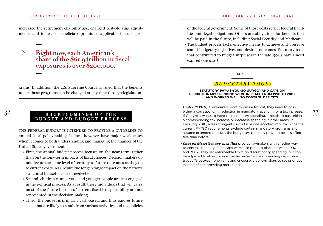increased the retirement eligibility age, changed cost-of-living adjustments, and increased beneficiary premiums applicable to such pro-

 $\rightarrow$ **Right now, each American's share of the \$61.9 trillion in fiscal exposures is over \$200,000.**

grams. In addition, the U.S. Supreme Court has ruled that the benefits under those programs can be changed at any time through legislation.

### **shortcomings of the budget and budget process**

The federal budget is intended to provide a guideline to annual fiscal policymaking. It does, however, have major weaknesses when it comes to both understanding and managing the finances of the United States government.

- First, the annual budget process focuses on the near term, rather than on the long-term impacts of fiscal choices. Decision makers do not devote the same level of scrutiny to future outcomes as they do to current costs. As a result, the longer-range impact on the nation's structural budget has been neglected.
- Second, children cannot vote, and younger people are less engaged in the political process. As a result, those individuals that will carry most of the future burden of current fiscal irresponsibility are not represented in the decision-making.
- Third, the budget is primarily cash-based, and thus ignores future costs that are likely to result from various activities and tax policies

of the federal government. Some of those costs reflect federal liabilities and legal obligations. Others are obligations for benefits that will be paid in the future, including Social Security and Medicare.

• The budget process lacks effective means to achieve and preserve sound budgetary objectives and desired outcomes. Statutory tools that contributed to budget surpluses in the late 1990s have sinced expired (*see Box 1*).

bo x 1.

### *B udgetary T o o l s*

### **Statutory pay-as-you-go (PAYGO) and caps on discretionary spending were in place from 1990 to 2002 and worked well to control deficits.**

- 32 33 either a corresponding reduction in mandatory spending or a tax increase. • *Under PAYGO,* if lawmakers want to pass a tax cut, they need to pass If Congress wants to increase mandatory spending, it needs to pass either a corresponding tax increase or decrease spending in other areas. In February 2010, a less stringent PAYGO rule was enacted into law. Since the current PAYGO requirements exclude certain mandatory programs and assume extended tax cuts, the budgetary tool may prove to be less effective than before.
	- *Caps on discretionary spending* provide lawmakers with another way to control spending. Such caps were also put into place between 1990 and 2002. They set enforceable limits on discretionary spending, but can be adjusted to allow for unexpected emergencies. Spending caps force tradeoffs between programs and encourage policymakers to set priorities instead of just providing more funds.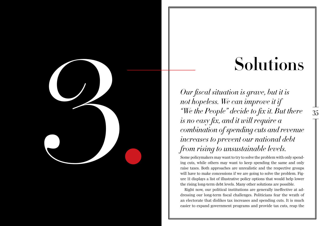# **Solution** is grave, but it is<br>
our fiscal situation is grave, but it is<br>
not hopeless. We can improve it if<br>
"We the People" decide to fix it. But there<br>
is no easy fix, and it will require a  $\frac{1}{35}$ <br>
"We then People"

# **Solutions**

*Our fiscal situation is grave, but it is not hopeless. We can improve it if "We the People" decide to fix it. But there is no easy fix, and it will require a combination of spending cuts and revenue increases to prevent our national debt from rising to unsustainable levels.* 

Some policymakers may want to try to solve the problem with only spending cuts, while others may want to keep spending the same and only raise taxes. Both approaches are unrealistic and the respective groups will have to make concessions if we are going to solve the problem. Figure 11 displays a list of illustrative policy options that would help lower the rising long-term debt levels. Many other solutions are possible.

Right now, our political institutions are generally ineffective at addressing our long-term fiscal challenges. Politicians fear the wrath of an electorate that dislikes tax increases and spending cuts. It is much easier to expand government programs and provide tax cuts, reap the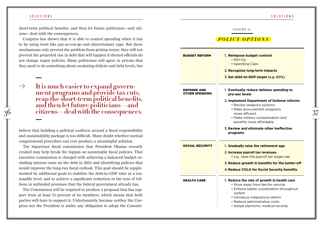### s ol u tion s s ol u tion s s ol u tion s s ol u tion s s ol u tion s s ol u tion s s ol u tion s s ol u tion s

short-term political benefits, and then let future politicians—and citizens—deal with the consequences.

Congress has shown that it is able to control spending when it has to by using tools like pay-as-you-go and discretionary caps. But these mechanisms only prevent the problem from getting worse; they will not prevent the projected rise in debt that will happen if elected officials do not change major policies. Many politicians will agree in private that they need to do something about escalating deficits and debt levels, but

 $\rightarrow$ **It is much easier to expand govern- ment programs and provide tax cuts, reap the short-term political benefits, and then let future politicians—and** 

believe that building a political coalition around a fiscal responsibility and sustainability package is too difficult. Many doubt whether normal congressional procedure can ever produce a meaningful solution.

The bipartisan fiscal commission that President Obama recently created may help break the logjam on sustainable fiscal policies. That executive commission is charged with achieving a balanced budget excluding interest costs on the debt in 2015 and identifying policies that would improve the long-run fiscal outlook. This goal should be supplemented by additional goals to stabilize the debt-to-GDP ratio at a reasonable level, and to achieve a significant reduction in the tens of trillions in unfunded promises that the federal government already has.

The Commission will be required to produce a proposal that has support from at least 75 percent of its members, which means that both parties will have to support it. Unfortunately, because neither the Congress nor the President is under any obligation to adopt the Commis-

### $35<sup>36</sup>$  citizens—deal with the consequences.  $37<sup>37</sup>$  *p o l i c y o p t i o n s*  1. **Reimpose budget controls** • PAY-Go • Spending Caps 2. **Recognize long-term impacts** 3. **Set debt-to-GDP target** (e.g. 60%) 1. **Eventually reduce defense spending to pre-war levels** 2. **Implement Department of Defense reforms** • Review weapons systems • Make procurement programs more efficient • Make military compensation and benefits more affordable 3. **Review and eliminate other ineffective programs** 1. **Gradually raise the retirement age** 2. **Increase payroll tax revenues** • e.g., raise the payroll tax wage-cap 3. **Reduce growth in benefits for the better-off** 4.**Reduce COLA for Social Security benefits** 1. **Reduce the rate of growth in health care** • Move away from fee-for-service • Enforce better coordination throughout system • Introduce malpractice reform • Reduce administrative costs • Adopt electronic medical records Budget Reform Defense and Other Spending Social Security Health Care

FIGURE 11.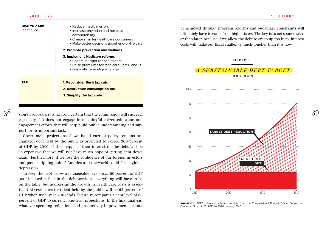### s ol u tion s s ol u tion s s ol u tion s s ol u tion s s ol u tion s s ol u tion s s ol u tion s s ol u tion s

| <b>HEALTH CARE</b><br>(continued) | • Reduce medical errors<br>• Increase physician and hospital<br>accountability<br>• Create smarter healthcare consumers<br>• Make better decisions about end-of-life care |
|-----------------------------------|---------------------------------------------------------------------------------------------------------------------------------------------------------------------------|
|                                   | 2. Promote prevention and wellness                                                                                                                                        |
|                                   | 3. Implement Medicare reforms<br>• Federal budget for health care<br>• Raise premiums for Medicare Part B and D<br>• Gradually raise eligibility age                      |
| <b>TAX</b>                        | 1. Reconsider Bush tax cuts<br>2. Restructure consumption tax<br>3. Simplify the tax code                                                                                 |

especially if it does not engage in meaningful citizen education and engagement efforts that will help build public understanding and support for its important task.

Government projections show that if current policy remains unchanged, debt held by the public is projected to exceed 300 percent of GDP by 2040. If that happens, then interest on the debt will be so expensive that we will not have much hope of getting debt down again. Furthermore, if we lose the confidence of our foreign investors and pass a "tipping point," America and the world could face a global depression.

To keep the debt below a manageable level—e.g., 60 percent of GDP (as discussed earlier in the debt section)—everything will have to be on the table, but addressing the growth in health care costs is essential. CBO estimates that debt held by the public will be 62 percent of GDP when fiscal year 2010 ends. Figure 12 compares a debt level of 60 percent of GDP to current long-term projections. In the final analysis, whatever spending reductions and productivity improvements cannot

be achieved through program reforms and budgetary constraints will ultimately have to come from higher taxes. The key is to act sooner rather than later, because if we allow the debt to creep up too high, interest costs will make our fiscal challenge much tougher than it is now.

### FIGURE 12.

### *a s u b s t a i n a b l e d e b t t a r g e t*  (PERCENT OF GDP)



**SOURCES:** PGPF calculations based on data from the Congressional Budget Office, *Budget and Economic Outlook*: FY 2010 to 2020: January 2010.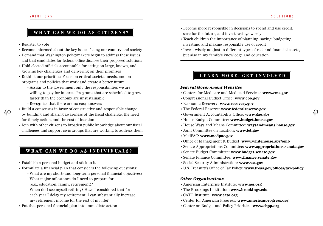### s ol u tion s s ol u tion s s ol u tion s s ol u tion s s ol u tion s s ol u tion s s ol u tion s s ol u tion s

# **what can we do as citizens?**

• Register to vote

 $\overline{a}$ 

- Become informed about the key issues facing our country and society
- Demand that Washington policymakers begin to address these issues, and that candidates for federal office disclose their proposed solutions
- Hold elected officials accountable for acting on large, known, and growing key challenges and delivering on their promises
- Rethink our priorities: Focus on critical societal needs, and on programs and policies that work and create a better future
	- Assign to the government only the responsibilities we are willing to pay for in taxes. Programs that are scheduled to grow faster than the economy are unsustainable
	- Recognize that there are no easy answers
- Build a consensus in favor of constructive and responsible change **•** The Federal Reserve: www.federalreserve.gov<br>• by building and sharing awareness of the fiscal challenge, the need Government Accountability Office: • Build a consensus in favor of constructive and responsible change for timely action, and the cost of inaction
	- Join with other citizens to broaden public knowledge about our fiscal challenges and support civic groups that are working to address them

# **what can we do as individuals?**

- Establish a personal budget and stick to it
- Formulate a financial plan that considers the following questions:
	- What are my short- and long-term personal financial objectives?
	- What major milestones do I need to prepare for (e.g., education, family, retirement)?
	- When do I see myself retiring? Have I considered that for each year I delay my retirement, I can substantially increase my retirement income for the rest of my life?
- Put that personal financial plan into immediate action
- Become more responsible in decisions to spend and use credit, save for the future, and invest savings wisely
- Teach children the importance of planning, saving, budgeting, investing, and making responsible use of credit
- Invest wisely not just in different types of real and financial assets, but also in my family's knowledge and education

# **learn more. get involved.**

### *Federal Government Websites*

- Centers for Medicare and Medicaid Services: **www.cms.gov**
- Congressional Budget Office: **www.cbo.gov**
- Economic Recovery: **www.recovery.gov**
- The Federal Reserve: **www.federalreserve.gov**
- Government Accountability Office: **www.gao.gov**
- House Budget Committee: **www.budget.house.gov**
- House Ways and Means Committee: **waysandmeans.house.gov**
- Joint Committee on Taxation: **www.jct.gov**
- MedPAC: **www.medpac.gov**
- Office of Management & Budget: **www.whitehouse.gov/omb**
- Senate Appropriations Committee: **www.appropriations.senate.gov**
- Senate Budget Committee: **www.budget.senate.gov**
- Senate Finance Committee: **www.finance.senate.gov**
- Social Security Administration: **www.ssa.gov**
- U.S. Treasury's Office of Tax Policy: **www.treas.gov/offices/tax-policy**

### *Other Organizations*

- American Enterprise Institute: **www.aei.org**
- The Brookings Institution: **www.brookings.edu**
- CATO Institute: **www.cato.org**
- Center for American Progress: **www.americanprogress.org**
- Center on Budget and Policy Priorities: **www.cbpp.org**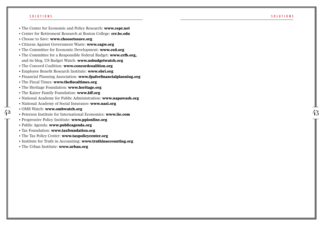- The Center for Economic and Policy Research: **www.cepr.net**
- Center for Retirement Research at Boston College: **crr.bc.edu**
- Choose to Save: **www.choosetosave.org**
- Citizens Against Government Waste: **www.cagw.org**
- The Committee for Economic Development: **www.ced.org**
- $\frac{50 \text{ U } \text{U} \cdot \text{I} \cdot 0 \times \text{S}}{40 \text{ H}}$ <br>  $\cdot$  The Center for Economic and Policy Research: www.eepr.net<br>  $\cdot$  Center for Economic Research at Boston College: **cro.b.c.edu**<br>  $\cdot$  Choose to Save: www.ednostedsare.org<br> • The Committee for a Responsible Federal Budget: **www.crfb.org,** and its blog, US Budget Watch: **www.usbudgetwatch.org**
	- The Concord Coalition: **www.concordcoalition.org**
	- Employee Benefit Research Institute: **www.ebri.org**
	- Financial Planning Association: **www.fpaforfinancialplanning.org**
	- The Fiscal Times: **www.thefiscaltimes.org**
	- The Heritage Foundation: **www.heritage.org**
	- The Kaiser Family Foundation: **www.kff.org**
	- National Academy for Public Administration: **www.napawash.org**
	- National Academy of Social Insurance: **www.nasi.org**
	- OMB Watch: **www.ombwatch.org**
	- Peterson Institute for International Economics: **www.iie.com**
	- Progressive Policy Institute: **www.ppionline.org**
	- Public Agenda: **www.publicagenda.org**
	- Tax Foundation: **www.taxfoundation.org**
	- The Tax Policy Center: **www.taxpolicycenter.org**
	- Institute for Truth in Accounting: **www.truthinaccounting.org**
	- The Urban Institute: **www.urban.org**